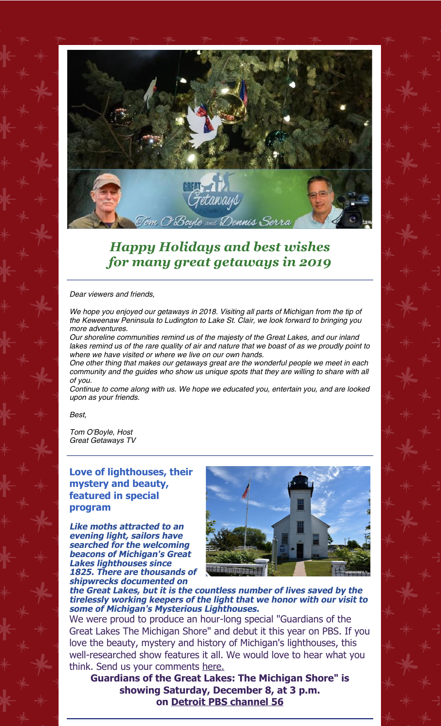

# *Happy Holidays and best wishes for many great getaways in 2019*

#### Dear viewers and friends,

We hope you enjoyed our getaways in 2018. Visiting all parts of Michigan from the tip of the Keweenaw Peninsula to Ludington to Lake St. Clair, we look forward to bringing you more adventures.

Our shoreline communities remind us of the majesty of the Great Lakes, and our inland lakes remind us of the rare quality of air and nature that we boast of as we proudly point to where we have visited or where we live on our own hands.

One other thing that makes our getaways great are the wonderful people we meet in each community and the guides who show us unique spots that they are willing to share with all of you.

Continue to come along with us. We hope we educated you, entertain you, and are looked upon as your friends.

Best,

Tom O'Boyle, Host Great Getaways TV

### **Love of lighthouses, their mystery and beauty, featured in special program**

**Like moths attracted to an evening light, sailors have searched for the welcoming beacons of Michigan's Great Lakes lighthouses since 1825. There are thousands of shipwrecks documented on**



**the Great Lakes, but it is the countless number of lives saved by the tirelessly working keepers of the light that we honor with our visit to some of Michigan's Mysterious Lighthouses.**

We were proud to produce an hour-long special "Guardians of the Great Lakes The Michigan Shore" and debut it this year on PBS. If you love the beauty, mystery and history of Michigan's lighthouses, this well-researched show features it all. We would love to hear what you think. Send us your comments [here.](mailto:dennis@greatgetaways.tv)

**Guardians of the Great Lakes: The Michigan Shore" is showing Saturday, December 8, at 3 p.m. on [Detroit PBS channel 56](http://r20.rs6.net/tn.jsp?f=001PhdrYns9BrGbE3505dpCO7mw3mNC7H270tEtO8f2ca3krQ4YtsOEA00beGbeOlD34hI1ABvkgANoGiRUIWbTkbMiryI-mK3q5rIl9UvZ79yts00nAtmmtV09KIVJz-iG8nAKjHA69uu4tGlr_wWI02M05r82rN5hnH83wV5saPlDeAzj1V6-xFywp88INTigqxQjOJ6M6tQ93aiQA7SmedfJBJvGfWc0AFdgyGuLqYg=&c=V5ezeDgHyqnbBSCl04X1A2Q4emGrXlzF6x1wh42GYKjUtrCf_9Y41Q==&ch=JE4didWmtIXDhJsqssu4f6I3r14CQ_PCRqgSBMHvq8gFMtyN0iJixw==)**